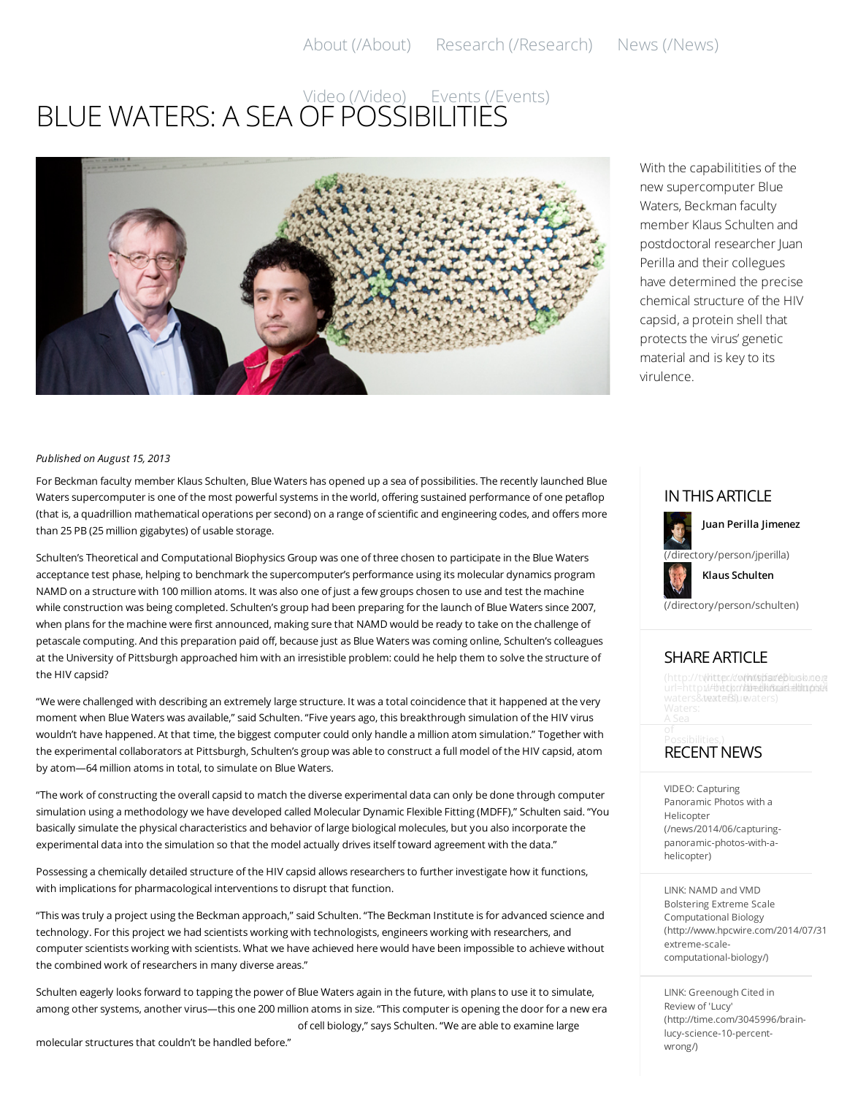# BLUE WATERS: A SEA OF [POSSI](http://beckman.illinois.edu/video)[BILITIES](http://beckman.illinois.edu/events) Video (/Video) Events (/Events)



With the capabilitities of the new supercomputer Blue Waters, Beckman faculty member Klaus Schulten and postdoctoral researcher Juan Perilla and their collegues have determined the precise chemical structure of the HIV capsid, a protein shell that protects the virus' genetic material and is key to its virulence.

#### *Published on August 15, 2013*

For Beckman faculty member Klaus Schulten, Blue Waters has opened up a sea of possibilities. The recently launched Blue Waters supercomputer is one of the most powerful systems in the world, offering sustained performance of one petaflop (that is, a quadrillion mathematical operations per second) on a range of scientific and engineering codes, and offers more than 25 PB (25 million gigabytes) of usable storage.

Schulten's Theoretical and Computational Biophysics Group was one of three chosen to participate in the Blue Waters acceptance test phase, helping to benchmark the supercomputer's performance using its molecular dynamics program NAMD on a structure with 100 million atoms. It was also one of just a few groups chosen to use and test the machine while construction was being completed. Schulten's group had been preparing for the launch of Blue Waters since 2007, when plans for the machine were first announced, making sure that NAMD would be ready to take on the challenge of petascale computing. And this preparation paid off, because just as Blue Waters was coming online, Schulten's colleagues at the University of Pittsburgh approached him with an irresistible problem: could he help them to solve the structure of the HIV capsid?

"We were challenged with describing an extremely large structure. It was a total coincidence that it happened at the very moment when Blue Waters was available," said Schulten. "Five years ago, this breakthrough simulation of the HIV virus wouldn't have happened. At that time, the biggest computer could only handle a million atom simulation." Together with the experimental collaborators at Pittsburgh, Schulten's group was able to construct a full model of the HIV capsid, atom by atom—64 million atoms in total, to simulate on Blue Waters.

"The work of constructing the overall capsid to match the diverse experimental data can only be done through computer simulation using a methodology we have developed called Molecular Dynamic Flexible Fitting (MDFF)," Schulten said. "You basically simulate the physical characteristics and behavior of large biological molecules, but you also incorporate the experimental data into the simulation so that the model actually drives itself toward agreement with the data."

Possessing a chemically detailed structure of the HIV capsid allows researchers to further investigate how it functions, with implications for pharmacological interventions to disrupt that function.

"This was truly a project using the Beckman approach," said Schulten. "The Beckman Institute is for advanced science and technology. For this project we had scientists working with technologists, engineers working with researchers, and computer scientists working with scientists. What we have achieved here would have been impossible to achieve without the combined work of researchers in many diverse areas."

Schulten eagerly looks forward to tapping the power of Blue Waters again in the future, with plans to use it to simulate, among other systems, another virus—this one 200 million atoms in size. "This computer is opening the door for a new era of cell biology," says Schulten. "We are able to examine large

molecular structures that couldn't be handled before."

#### INTHISARTICLE



**Juan Perilla Jimenez**



**Klaus Schulten**

[\(/directory/person/schulten\)](http://beckman.illinois.edu/directory/person/schulten)

### SHAREARTICLE

(http://twitter./dom/www.faceblorskroerg url=http://<del>bec</del>km<del>alidinois.edu/news/</del><br>waters&wexterBluevaters)

## **RECENT NEWS**

VIDEO: Capturing Panoramic Photos with a Helicopter [\(/news/2014/06/capturing](http://beckman.illinois.edu/news/2014/06/capturing-panoramic-photos-with-a-helicopter)panoramic-photos-with-ahelicopter)

LINK: NAMD and VMD Bolstering Extreme Scale Computational Biology (http://www.hpcwire.com/2014/07/31 extreme-scalecomputational-biology/)

LINK: Greenough Cited in Review of 'Lucy' [\(http://time.com/3045996/brain](http://time.com/3045996/brain-lucy-science-10-percent-wrong/)lucy-science-10-percentwrong/)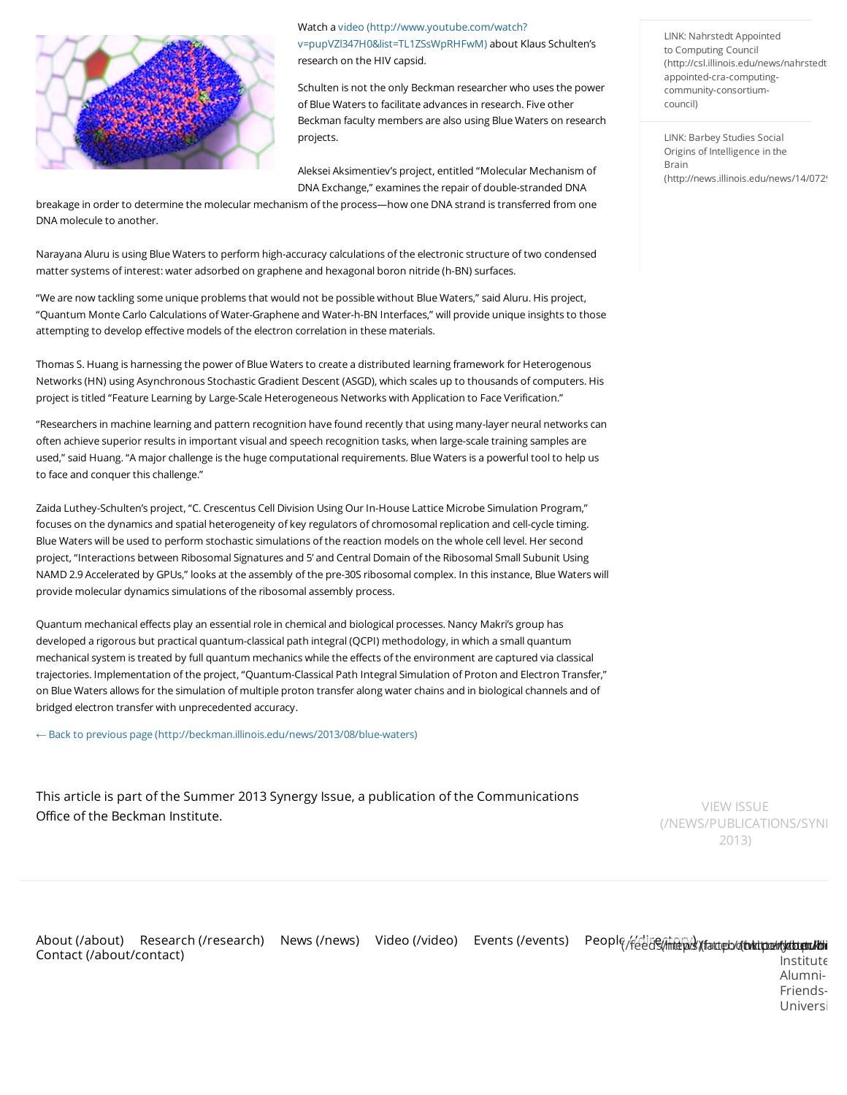

Watch a video (http://www.youtube.com/watch? [v=pupVZl347H0&list=TL1ZSsWpRHFwM\)](http://www.youtube.com/watch?v=pupVZl347H0&list=TL1ZSsWpRHFwM) about Klaus Schulten's research on the HIV capsid.

Schulten is not the only Beckman researcher who uses the power of Blue Waters to facilitate advances in research. Five other Beckman faculty members are also using Blue Waters on research projects.

Aleksei Aksimentiev's project, entitled "Molecular Mechanism of DNA Exchange," examines the repair of double-stranded DNA

breakage in order to determine the molecular mechanism of the process—how one DNA strand is transferred from one DNA molecule to another.

Narayana Aluru is using Blue Waters to perform high-accuracy calculations of the electronic structure of two condensed matter systems of interest: water adsorbed on graphene and hexagonal boron nitride (h-BN) surfaces.

"We are now tackling some unique problems that would not be possible without Blue Waters," said Aluru. His project, "Quantum Monte Carlo Calculations of Water-Graphene and Water-h-BN Interfaces," will provide unique insights to those attempting to develop effective models of the electron correlation in these materials.

Thomas S. Huang is harnessing the power of Blue Waters to create a distributed learning framework for Heterogenous Networks (HN) using Asynchronous Stochastic Gradient Descent (ASGD), which scales up to thousands of computers. His project is titled "Feature Learning by Large-Scale Heterogeneous Networks with Application to Face Verification."

"Researchers in machine learning and pattern recognition have found recently that using many-layer neural networks can often achieve superior results in important visual and speech recognition tasks, when large-scale training samples are used," said Huang. "A major challenge is the huge computational requirements. Blue Waters is a powerful tool to help us to face and conquer this challenge."

Zaida Luthey-Schulten's project, "C. Crescentus Cell Division Using Our In-House Lattice Microbe Simulation Program," focuses on the dynamics and spatial heterogeneity of key regulators of chromosomal replication and cell-cycle timing. Blue Waters will be used to perform stochastic simulations of the reaction models on the whole cell level. Her second project, "Interactions between Ribosomal Signatures and 5' and Central Domain of the Ribosomal Small Subunit Using NAMD 2.9 Accelerated by GPUs," looks at the assembly of the pre-30S ribosomal complex. In this instance, Blue Waters will provide molecular dynamics simulations of the ribosomal assembly process.

Quantum mechanical effects play an essential role in chemical and biological processes. Nancy Makri's group has developed a rigorous but practical quantum-classical path integral (QCPI) methodology, in which a small quantum mechanical system is treated by full quantum mechanics while the effects of the environment are captured via classical trajectories. Implementation of the project, "Quantum-Classical Path Integral Simulation of Proton and Electron Transfer," on Blue Waters allows for the simulation of multiple proton transfer along water chains and in biological channels and of bridged electron transfer with unprecedented accuracy.

← Back to previous page [\(http://beckman.illinois.edu/news/2013/08/blue-waters\)](http://beckman.illinois.edu/news/2013/08/blue-waters)

This article is part of the Summer 2013 Synergy Issue, a publication of the Communications Office of the Beckman Institute.

LINK: Nahrstedt Appointed to Computing Council [\(http://csl.illinois.edu/news/nahrstedt](http://csl.illinois.edu/news/nahrstedt-appointed-cra-computing-community-consortium-council)appointed-cra-computingcommunity-consortiumcouncil)

LINK: Barbey Studies Social Origins of Intelligence in the Brain (http://news.illinois.edu/news/14/0729

VIEW ISSUE (/NEWS/PUBLICATIONS/SYNI 2013)

About [\(/about\)](http://beckman.illinois.edu/about) Research [\(/research\)](http://beckman.illinois.edu/research) News [\(/news\)](http://beckman.illinois.edu/news) Video [\(/video\)](http://beckman.illinois.edu/video) Events [\(/events\)](http://beckman.illinois.edu/events) People<sub>/f</sub>/eeds(<del>indpx/yfatteb/d**bkitte/r/dbkitte/**</del><br>Contract (/shant/contract) Contact [\(/about/contact\)](http://beckman.illinois.edu/about/contact)

Institute-Alumni-Friends-Universi